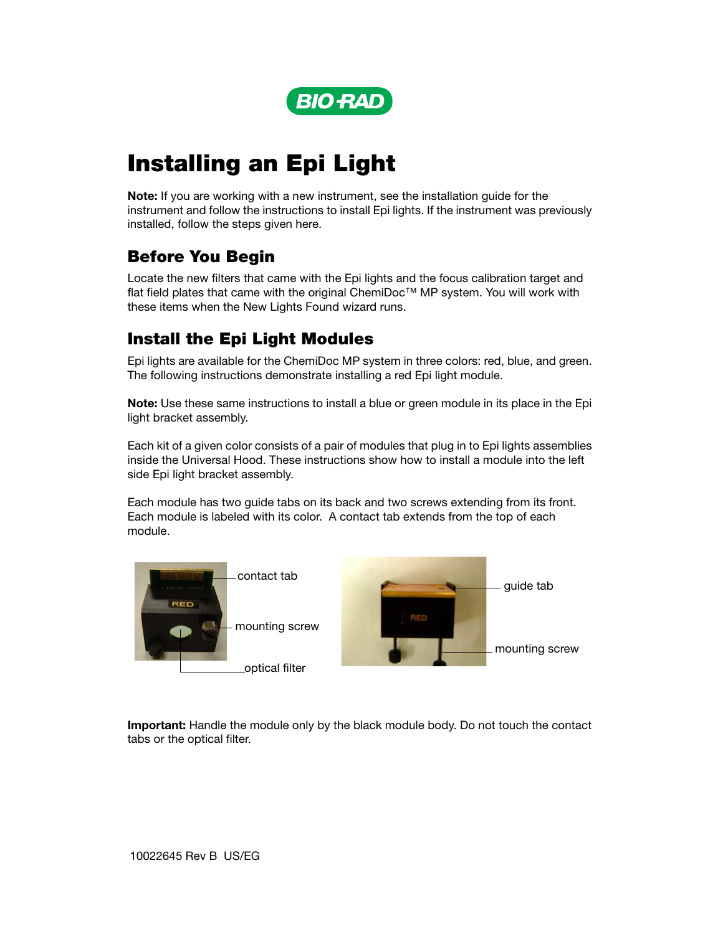

# Installing an Epi Light

Note: If you are working with a new instrument, see the installation guide for the instrument and follow the instructions to install Epi lights. If the instrument was previously installed, follow the steps given here.

## Before You Begin

Locate the new filters that came with the Epi lights and the focus calibration target and flat field plates that came with the original ChemiDoc™ MP system. You will work with these items when the New Lights Found wizard runs.

## Install the Epi Light Modules

Epi lights are available for the ChemiDoc MP system in three colors: red, blue, and green. The following instructions demonstrate installing a red Epi light module.

Note: Use these same instructions to install a blue or green module in its place in the Epi light bracket assembly.

Each kit of a given color consists of a pair of modules that plug in to Epi lights assemblies inside the Universal Hood. These instructions show how to install a module into the left side Epi light bracket assembly.

Each module has two guide tabs on its back and two screws extending from its front. Each module is labeled with its color. A contact tab extends from the top of each module.



Important: Handle the module only by the black module body. Do not touch the contact tabs or the optical filter.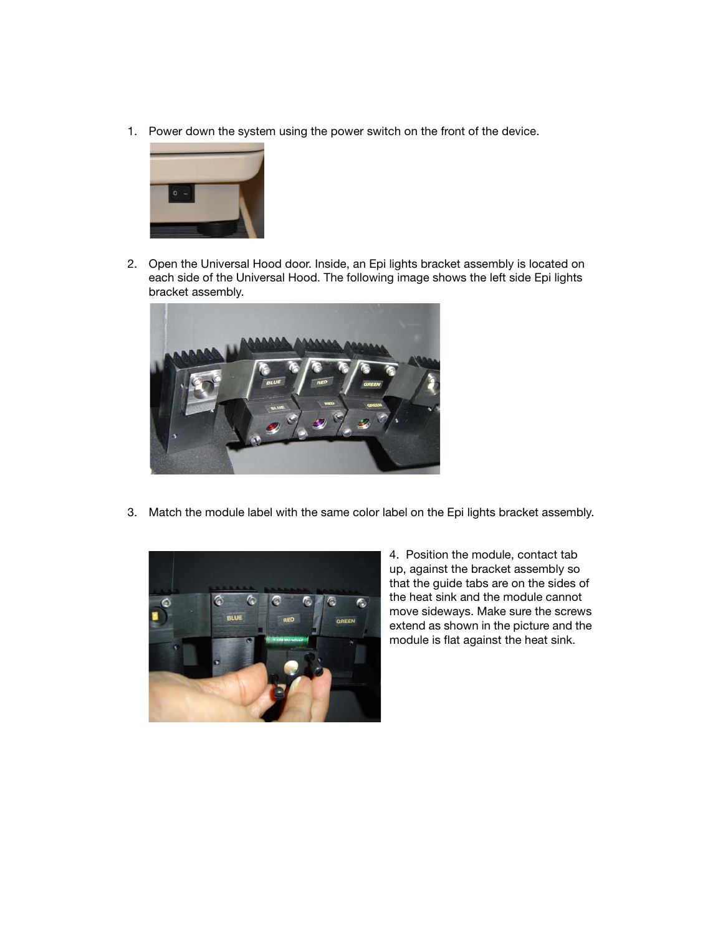1. Power down the system using the power switch on the front of the device.



2. Open the Universal Hood door. Inside, an Epi lights bracket assembly is located on each side of the Universal Hood. The following image shows the left side Epi lights bracket assembly.



3. Match the module label with the same color label on the Epi lights bracket assembly.



4. Position the module, contact tab up, against the bracket assembly so that the guide tabs are on the sides of the heat sink and the module cannot move sideways. Make sure the screws extend as shown in the picture and the module is flat against the heat sink.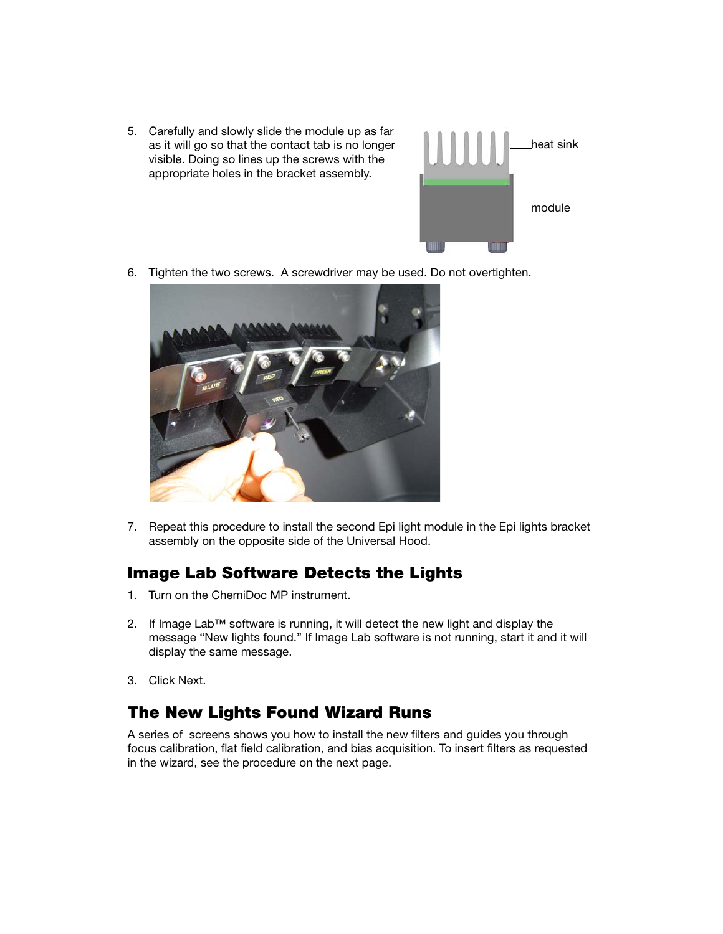5. Carefully and slowly slide the module up as far as it will go so that the contact tab is no longer visible. Doing so lines up the screws with the appropriate holes in the bracket assembly.



6. Tighten the two screws. A screwdriver may be used. Do not overtighten.



7. Repeat this procedure to install the second Epi light module in the Epi lights bracket assembly on the opposite side of the Universal Hood.

#### Image Lab Software Detects the Lights

- 1. Turn on the ChemiDoc MP instrument.
- 2. If Image Lab™ software is running, it will detect the new light and display the message "New lights found." If Image Lab software is not running, start it and it will display the same message.
- 3. Click Next.

### The New Lights Found Wizard Runs

A series of screens shows you how to install the new filters and guides you through focus calibration, flat field calibration, and bias acquisition. To insert filters as requested in the wizard, see the procedure on the next page.